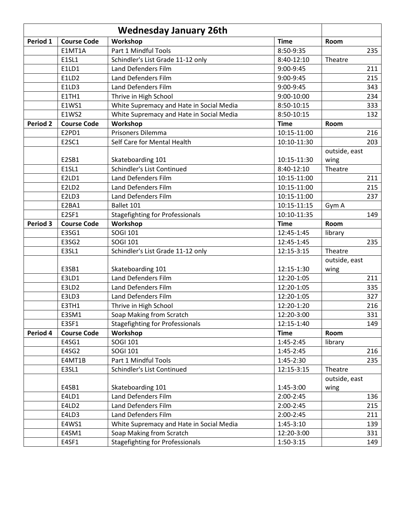| <b>Wednesday January 26th</b> |                    |                                          |               |               |
|-------------------------------|--------------------|------------------------------------------|---------------|---------------|
| Period 1                      | <b>Course Code</b> | Workshop                                 | <b>Time</b>   | Room          |
|                               | E1MT1A             | Part 1 Mindful Tools                     | 8:50-9:35     | 235           |
|                               | <b>E1SL1</b>       | Schindler's List Grade 11-12 only        | 8:40-12:10    | Theatre       |
|                               | E1LD1              | Land Defenders Film                      | 9:00-9:45     | 211           |
|                               | E1LD2              | Land Defenders Film                      | 9:00-9:45     | 215           |
|                               | E1LD3              | Land Defenders Film                      | 9:00-9:45     | 343           |
|                               | E1TH1              | Thrive in High School                    | 9:00-10:00    | 234           |
|                               | E1WS1              | White Supremacy and Hate in Social Media | 8:50-10:15    | 333           |
|                               | E1WS2              | White Supremacy and Hate in Social Media | 8:50-10:15    | 132           |
| <b>Period 2</b>               | <b>Course Code</b> | Workshop                                 | <b>Time</b>   | Room          |
|                               | E2PD1              | Prisoners Dilemma                        | 10:15-11:00   | 216           |
|                               | E2SC1              | Self Care for Mental Health              | 10:10-11:30   | 203           |
|                               |                    |                                          |               | outside, east |
|                               | E2SB1              | Skateboarding 101                        | 10:15-11:30   | wing          |
|                               | <b>E1SL1</b>       | Schindler's List Continued               | 8:40-12:10    | Theatre       |
|                               | E2LD1              | Land Defenders Film                      | 10:15-11:00   | 211           |
|                               | E2LD <sub>2</sub>  | Land Defenders Film                      | 10:15-11:00   | 215           |
|                               | E2LD3              | Land Defenders Film                      | 10:15-11:00   | 237           |
|                               | E2BA1              | Ballet 101                               | 10:15-11:15   | Gym A         |
|                               | E2SF1              | <b>Stagefighting for Professionals</b>   | 10:10-11:35   | 149           |
| Period 3                      | <b>Course Code</b> | Workshop                                 | <b>Time</b>   | Room          |
|                               | E3SG1              | <b>SOGI 101</b>                          | 12:45-1:45    | library       |
|                               | E3SG2              | <b>SOGI 101</b>                          | 12:45-1:45    | 235           |
|                               | E3SL1              | Schindler's List Grade 11-12 only        | 12:15-3:15    | Theatre       |
|                               |                    |                                          |               | outside, east |
|                               | E3SB1              | Skateboarding 101                        | 12:15-1:30    | wing          |
|                               | E3LD1              | Land Defenders Film                      | 12:20-1:05    | 211           |
|                               | E3LD2              | Land Defenders Film                      | 12:20-1:05    | 335           |
|                               | E3LD3              | Land Defenders Film                      | 12:20-1:05    | 327           |
|                               | E3TH1              | Thrive in High School                    | 12:20-1:20    | 216           |
|                               | E3SM1              | Soap Making from Scratch                 | 12:20-3:00    | 331           |
|                               | E3SF1              | <b>Stagefighting for Professionals</b>   | 12:15-1:40    | 149           |
| Period 4                      | <b>Course Code</b> | Workshop                                 | <b>Time</b>   | Room          |
|                               | E4SG1              | <b>SOGI 101</b>                          | $1:45 - 2:45$ | library       |
|                               | E4SG2              | <b>SOGI 101</b>                          | $1:45 - 2:45$ | 216           |
|                               | E4MT1B             | Part 1 Mindful Tools                     | 1:45-2:30     | 235           |
|                               | E3SL1              | Schindler's List Continued               | 12:15-3:15    | Theatre       |
|                               |                    |                                          |               | outside, east |
|                               | E4SB1              | Skateboarding 101                        | 1:45-3:00     | wing          |
|                               | E4LD1              | Land Defenders Film                      | 2:00-2:45     | 136           |
|                               | E4LD2              | Land Defenders Film                      | 2:00-2:45     | 215           |
|                               | E4LD3              | Land Defenders Film                      | 2:00-2:45     | 211           |
|                               | E4WS1              | White Supremacy and Hate in Social Media | $1:45-3:10$   | 139           |
|                               | E4SM1              | Soap Making from Scratch                 | 12:20-3:00    | 331           |
|                               | E4SF1              | <b>Stagefighting for Professionals</b>   | $1:50-3:15$   | 149           |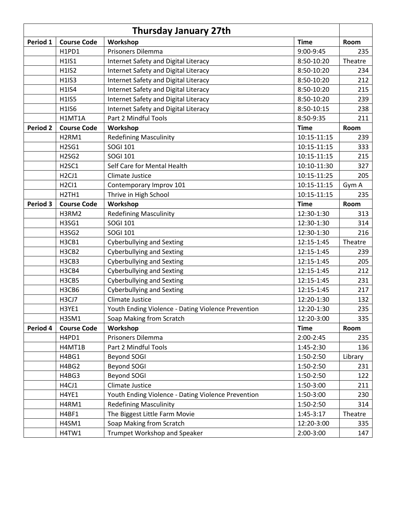| <b>Thursday January 27th</b> |                                |                                                    |             |         |
|------------------------------|--------------------------------|----------------------------------------------------|-------------|---------|
| Period 1                     | <b>Course Code</b>             | Workshop                                           | <b>Time</b> | Room    |
|                              | H1PD1                          | Prisoners Dilemma                                  | 9:00-9:45   | 235     |
|                              | H1IS1                          | Internet Safety and Digital Literacy               | 8:50-10:20  | Theatre |
|                              | <b>H1IS2</b>                   | Internet Safety and Digital Literacy               | 8:50-10:20  | 234     |
|                              | H1IS3                          | Internet Safety and Digital Literacy               | 8:50-10:20  | 212     |
|                              | <b>H1IS4</b>                   | Internet Safety and Digital Literacy               | 8:50-10:20  | 215     |
|                              | <b>H1IS5</b>                   | Internet Safety and Digital Literacy               | 8:50-10:20  | 239     |
|                              | <b>H1IS6</b>                   | Internet Safety and Digital Literacy               | 8:50-10:15  | 238     |
|                              | H1MT1A                         | Part 2 Mindful Tools                               | 8:50-9:35   | 211     |
| <b>Period 2</b>              | <b>Course Code</b>             | Workshop                                           | <b>Time</b> | Room    |
|                              | H <sub>2RM1</sub>              | <b>Redefining Masculinity</b>                      | 10:15-11:15 | 239     |
|                              | <b>H2SG1</b>                   | SOGI 101                                           | 10:15-11:15 | 333     |
|                              | <b>H2SG2</b>                   | <b>SOGI 101</b>                                    | 10:15-11:15 | 215     |
|                              | H <sub>2</sub> SC <sub>1</sub> | Self Care for Mental Health                        | 10:10-11:30 | 327     |
|                              | H <sub>2</sub> CJ <sub>1</sub> | Climate Justice                                    | 10:15-11:25 | 205     |
|                              | H <sub>2</sub> CI <sub>1</sub> | Contemporary Improv 101                            | 10:15-11:15 | Gym A   |
|                              | H <sub>2</sub> TH <sub>1</sub> | Thrive in High School                              | 10:15-11:15 | 235     |
| Period 3                     | <b>Course Code</b>             | Workshop                                           | <b>Time</b> | Room    |
|                              | H3RM2                          | <b>Redefining Masculinity</b>                      | 12:30-1:30  | 313     |
|                              | H3SG1                          | <b>SOGI 101</b>                                    | 12:30-1:30  | 314     |
|                              | H3SG2                          | <b>SOGI 101</b>                                    | 12:30-1:30  | 216     |
|                              | H3CB1                          | <b>Cyberbullying and Sexting</b>                   | 12:15-1:45  | Theatre |
|                              | H3CB2                          | <b>Cyberbullying and Sexting</b>                   | 12:15-1:45  | 239     |
|                              | H3CB3                          | <b>Cyberbullying and Sexting</b>                   | 12:15-1:45  | 205     |
|                              | H3CB4                          | <b>Cyberbullying and Sexting</b>                   | 12:15-1:45  | 212     |
|                              | H3CB5                          | <b>Cyberbullying and Sexting</b>                   | 12:15-1:45  | 231     |
|                              | H3CB6                          | <b>Cyberbullying and Sexting</b>                   | 12:15-1:45  | 217     |
|                              | H3CJ7                          | <b>Climate Justice</b>                             | 12:20-1:30  | 132     |
|                              | H3YE1                          | Youth Ending Violence - Dating Violence Prevention | 12:20-1:30  | 235     |
|                              | H3SM1                          | Soap Making from Scratch                           | 12:20-3:00  | 335     |
| Period 4                     | <b>Course Code</b>             | Workshop                                           | <b>Time</b> | Room    |
|                              | H4PD1                          | Prisoners Dilemma                                  | $2:00-2:45$ | 235     |
|                              | H4MT1B                         | Part 2 Mindful Tools                               | 1:45-2:30   | 136     |
|                              | H4BG1                          | Beyond SOGI                                        | 1:50-2:50   | Library |
|                              | H4BG2                          | Beyond SOGI                                        | 1:50-2:50   | 231     |
|                              | H4BG3                          | Beyond SOGI                                        | 1:50-2:50   | 122     |
|                              | H4CJ1                          | Climate Justice                                    | 1:50-3:00   | 211     |
|                              | H4YE1                          | Youth Ending Violence - Dating Violence Prevention | 1:50-3:00   | 230     |
|                              | H4RM1                          | <b>Redefining Masculinity</b>                      | 1:50-2:50   | 314     |
|                              | H4BF1                          | The Biggest Little Farm Movie                      | $1:45-3:17$ | Theatre |
|                              | H4SM1                          | Soap Making from Scratch                           | 12:20-3:00  | 335     |
|                              | H4TW1                          | Trumpet Workshop and Speaker                       | 2:00-3:00   | 147     |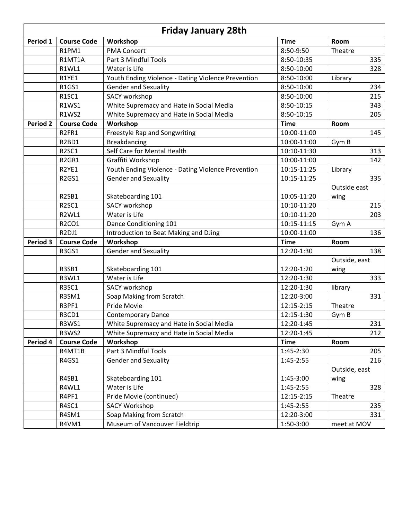| <b>Friday January 28th</b> |                                |                                                    |             |               |
|----------------------------|--------------------------------|----------------------------------------------------|-------------|---------------|
| Period 1                   | <b>Course Code</b>             | Workshop                                           | <b>Time</b> | Room          |
|                            | R1PM1                          | <b>PMA Concert</b>                                 | 8:50-9:50   | Theatre       |
|                            | R1MT1A                         | Part 3 Mindful Tools                               | 8:50-10:35  | 335           |
|                            | R1WL1                          | Water is Life                                      | 8:50-10:00  | 328           |
|                            | R1YE1                          | Youth Ending Violence - Dating Violence Prevention | 8:50-10:00  | Library       |
|                            | R1GS1                          | <b>Gender and Sexuality</b>                        | 8:50-10:00  | 234           |
|                            | R1SC1                          | <b>SACY workshop</b>                               | 8:50-10:00  | 215           |
|                            | <b>R1WS1</b>                   | White Supremacy and Hate in Social Media           | 8:50-10:15  | 343           |
|                            | <b>R1WS2</b>                   | White Supremacy and Hate in Social Media           | 8:50-10:15  | 205           |
| <b>Period 2</b>            | <b>Course Code</b>             | Workshop                                           | <b>Time</b> | Room          |
|                            | R2FR1                          | Freestyle Rap and Songwriting                      | 10:00-11:00 | 145           |
|                            | R <sub>2</sub> BD <sub>1</sub> | <b>Breakdancing</b>                                | 10:00-11:00 | Gym B         |
|                            | R <sub>2</sub> SC <sub>1</sub> | Self Care for Mental Health                        | 10:10-11:30 | 313           |
|                            | R <sub>2GR1</sub>              | Graffiti Workshop                                  | 10:00-11:00 | 142           |
|                            | R2YE1                          | Youth Ending Violence - Dating Violence Prevention | 10:15-11:25 | Library       |
|                            | R <sub>2GS1</sub>              | <b>Gender and Sexuality</b>                        | 10:15-11:25 | 335           |
|                            |                                |                                                    |             | Outside east  |
|                            | R2SB1                          | Skateboarding 101                                  | 10:05-11:20 | wing          |
|                            | R <sub>2</sub> SC <sub>1</sub> | <b>SACY workshop</b>                               | 10:10-11:20 | 215           |
|                            | R2WL1                          | Water is Life                                      | 10:10-11:20 | 203           |
|                            | R2CO1                          | Dance Conditioning 101                             | 10:15-11:15 | Gym A         |
|                            | R <sub>2</sub> DJ <sub>1</sub> | Introduction to Beat Making and DJing              | 10:00-11:00 | 136           |
| <b>Period 3</b>            | <b>Course Code</b>             | Workshop                                           | <b>Time</b> | Room          |
|                            | R3GS1                          | <b>Gender and Sexuality</b>                        | 12:20-1:30  | 138           |
|                            |                                |                                                    |             | Outside, east |
|                            | R3SB1                          | Skateboarding 101                                  | 12:20-1:20  | wing          |
|                            | R3WL1                          | Water is Life                                      | 12:20-1:30  | 333           |
|                            | R3SC1                          | SACY workshop                                      | 12:20-1:30  | library       |
|                            | R3SM1                          | Soap Making from Scratch                           | 12:20-3:00  | 331           |
|                            | R3PF1                          | Pride Movie                                        | 12:15-2:15  | Theatre       |
|                            | R3CD1                          | <b>Contemporary Dance</b>                          | 12:15-1:30  | Gym B         |
|                            | R3WS1                          | White Supremacy and Hate in Social Media           | 12:20-1:45  | 231           |
|                            | R3WS2                          | White Supremacy and Hate in Social Media           | 12:20-1:45  | 212           |
| Period 4                   | <b>Course Code</b>             | Workshop                                           | <b>Time</b> | Room          |
|                            | R4MT1B                         | Part 3 Mindful Tools                               | 1:45-2:30   | 205           |
|                            | R4GS1                          | <b>Gender and Sexuality</b>                        | 1:45-2:55   | 216           |
|                            |                                |                                                    |             | Outside, east |
|                            | R4SB1                          | Skateboarding 101                                  | 1:45-3:00   | wing          |
|                            | R4WL1                          | Water is Life                                      | 1:45-2:55   | 328           |
|                            | R4PF1                          | Pride Movie (continued)                            | 12:15-2:15  | Theatre       |
|                            | R4SC1                          | <b>SACY Workshop</b>                               | 1:45-2:55   | 235           |
|                            | R4SM1                          | Soap Making from Scratch                           | 12:20-3:00  | 331           |
|                            | R4VM1                          | Museum of Vancouver Fieldtrip                      | 1:50-3:00   | meet at MOV   |